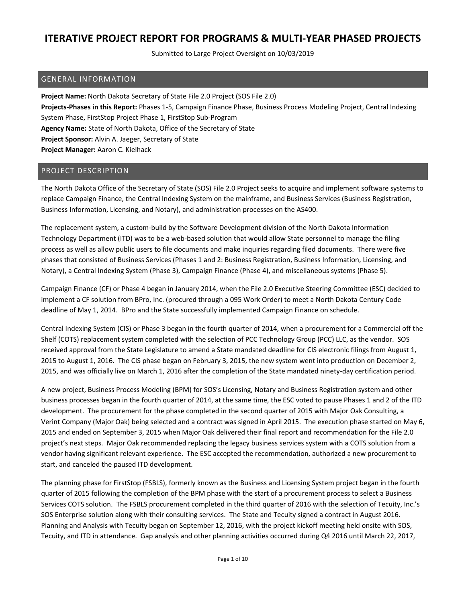Submitted to Large Project Oversight on 10/03/2019

#### GENERAL INFORMATION

**Project Name:** North Dakota Secretary of State File 2.0 Project (SOS File 2.0) **Projects‐Phases in this Report:** Phases 1‐5, Campaign Finance Phase, Business Process Modeling Project, Central Indexing System Phase, FirstStop Project Phase 1, FirstStop Sub‐Program **Agency Name:** State of North Dakota, Office of the Secretary of State **Project Sponsor:** Alvin A. Jaeger, Secretary of State **Project Manager:** Aaron C. Kielhack

#### PROJECT DESCRIPTION

The North Dakota Office of the Secretary of State (SOS) File 2.0 Project seeks to acquire and implement software systems to replace Campaign Finance, the Central Indexing System on the mainframe, and Business Services (Business Registration, Business Information, Licensing, and Notary), and administration processes on the AS400.

The replacement system, a custom‐build by the Software Development division of the North Dakota Information Technology Department (ITD) was to be a web‐based solution that would allow State personnel to manage the filing process as well as allow public users to file documents and make inquiries regarding filed documents. There were five phases that consisted of Business Services (Phases 1 and 2: Business Registration, Business Information, Licensing, and Notary), a Central Indexing System (Phase 3), Campaign Finance (Phase 4), and miscellaneous systems (Phase 5).

Campaign Finance (CF) or Phase 4 began in January 2014, when the File 2.0 Executive Steering Committee (ESC) decided to implement a CF solution from BPro, Inc. (procured through a 095 Work Order) to meet a North Dakota Century Code deadline of May 1, 2014. BPro and the State successfully implemented Campaign Finance on schedule.

Central Indexing System (CIS) or Phase 3 began in the fourth quarter of 2014, when a procurement for a Commercial off the Shelf (COTS) replacement system completed with the selection of PCC Technology Group (PCC) LLC, as the vendor. SOS received approval from the State Legislature to amend a State mandated deadline for CIS electronic filings from August 1, 2015 to August 1, 2016. The CIS phase began on February 3, 2015, the new system went into production on December 2, 2015, and was officially live on March 1, 2016 after the completion of the State mandated ninety‐day certification period.

A new project, Business Process Modeling (BPM) for SOS's Licensing, Notary and Business Registration system and other business processes began in the fourth quarter of 2014, at the same time, the ESC voted to pause Phases 1 and 2 of the ITD development. The procurement for the phase completed in the second quarter of 2015 with Major Oak Consulting, a Verint Company (Major Oak) being selected and a contract was signed in April 2015. The execution phase started on May 6, 2015 and ended on September 3, 2015 when Major Oak delivered their final report and recommendation for the File 2.0 project's next steps. Major Oak recommended replacing the legacy business services system with a COTS solution from a vendor having significant relevant experience. The ESC accepted the recommendation, authorized a new procurement to start, and canceled the paused ITD development.

The planning phase for FirstStop (FSBLS), formerly known as the Business and Licensing System project began in the fourth quarter of 2015 following the completion of the BPM phase with the start of a procurement process to select a Business Services COTS solution. The FSBLS procurement completed in the third quarter of 2016 with the selection of Tecuity, Inc.'s SOS Enterprise solution along with their consulting services. The State and Tecuity signed a contract in August 2016. Planning and Analysis with Tecuity began on September 12, 2016, with the project kickoff meeting held onsite with SOS, Tecuity, and ITD in attendance. Gap analysis and other planning activities occurred during Q4 2016 until March 22, 2017,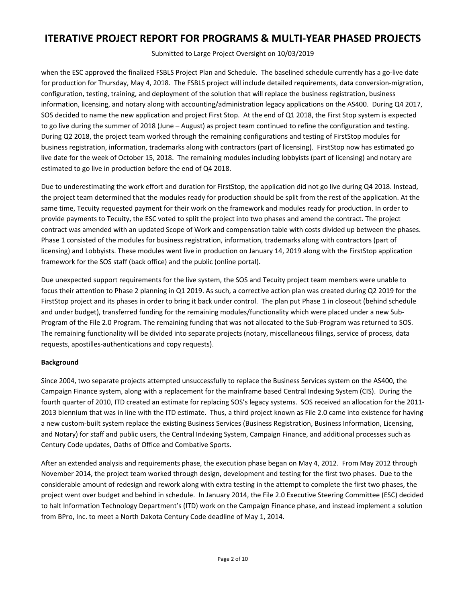Submitted to Large Project Oversight on 10/03/2019

when the ESC approved the finalized FSBLS Project Plan and Schedule. The baselined schedule currently has a go-live date for production for Thursday, May 4, 2018. The FSBLS project will include detailed requirements, data conversion‐migration, configuration, testing, training, and deployment of the solution that will replace the business registration, business information, licensing, and notary along with accounting/administration legacy applications on the AS400. During Q4 2017, SOS decided to name the new application and project First Stop. At the end of Q1 2018, the First Stop system is expected to go live during the summer of 2018 (June – August) as project team continued to refine the configuration and testing. During Q2 2018, the project team worked through the remaining configurations and testing of FirstStop modules for business registration, information, trademarks along with contractors (part of licensing). FirstStop now has estimated go live date for the week of October 15, 2018. The remaining modules including lobbyists (part of licensing) and notary are estimated to go live in production before the end of Q4 2018.

Due to underestimating the work effort and duration for FirstStop, the application did not go live during Q4 2018. Instead, the project team determined that the modules ready for production should be split from the rest of the application. At the same time, Tecuity requested payment for their work on the framework and modules ready for production. In order to provide payments to Tecuity, the ESC voted to split the project into two phases and amend the contract. The project contract was amended with an updated Scope of Work and compensation table with costs divided up between the phases. Phase 1 consisted of the modules for business registration, information, trademarks along with contractors (part of licensing) and Lobbyists. These modules went live in production on January 14, 2019 along with the FirstStop application framework for the SOS staff (back office) and the public (online portal).

Due unexpected support requirements for the live system, the SOS and Tecuity project team members were unable to focus their attention to Phase 2 planning in Q1 2019. As such, a corrective action plan was created during Q2 2019 for the FirstStop project and its phases in order to bring it back under control. The plan put Phase 1 in closeout (behind schedule and under budget), transferred funding for the remaining modules/functionality which were placed under a new Sub-Program of the File 2.0 Program. The remaining funding that was not allocated to the Sub‐Program was returned to SOS. The remaining functionality will be divided into separate projects (notary, miscellaneous filings, service of process, data requests, apostilles‐authentications and copy requests).

#### **Background**

Since 2004, two separate projects attempted unsuccessfully to replace the Business Services system on the AS400, the Campaign Finance system, along with a replacement for the mainframe based Central Indexing System (CIS). During the fourth quarter of 2010, ITD created an estimate for replacing SOS's legacy systems. SOS received an allocation for the 2011‐ 2013 biennium that was in line with the ITD estimate. Thus, a third project known as File 2.0 came into existence for having a new custom‐built system replace the existing Business Services (Business Registration, Business Information, Licensing, and Notary) for staff and public users, the Central Indexing System, Campaign Finance, and additional processes such as Century Code updates, Oaths of Office and Combative Sports.

After an extended analysis and requirements phase, the execution phase began on May 4, 2012. From May 2012 through November 2014, the project team worked through design, development and testing for the first two phases. Due to the considerable amount of redesign and rework along with extra testing in the attempt to complete the first two phases, the project went over budget and behind in schedule. In January 2014, the File 2.0 Executive Steering Committee (ESC) decided to halt Information Technology Department's (ITD) work on the Campaign Finance phase, and instead implement a solution from BPro, Inc. to meet a North Dakota Century Code deadline of May 1, 2014.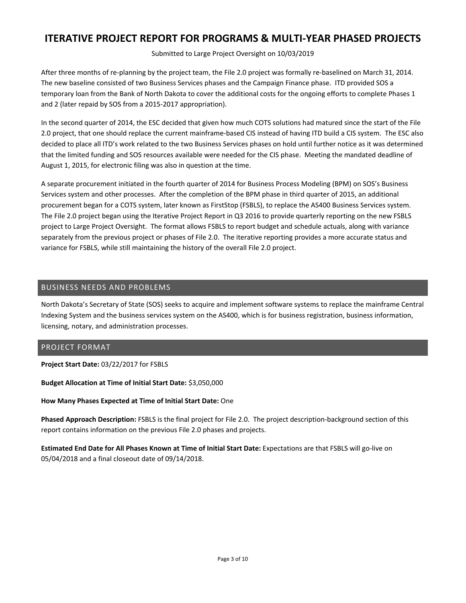Submitted to Large Project Oversight on 10/03/2019

After three months of re‐planning by the project team, the File 2.0 project was formally re‐baselined on March 31, 2014. The new baseline consisted of two Business Services phases and the Campaign Finance phase. ITD provided SOS a temporary loan from the Bank of North Dakota to cover the additional costs for the ongoing efforts to complete Phases 1 and 2 (later repaid by SOS from a 2015‐2017 appropriation).

In the second quarter of 2014, the ESC decided that given how much COTS solutions had matured since the start of the File 2.0 project, that one should replace the current mainframe‐based CIS instead of having ITD build a CIS system. The ESC also decided to place all ITD's work related to the two Business Services phases on hold until further notice as it was determined that the limited funding and SOS resources available were needed for the CIS phase. Meeting the mandated deadline of August 1, 2015, for electronic filing was also in question at the time.

A separate procurement initiated in the fourth quarter of 2014 for Business Process Modeling (BPM) on SOS's Business Services system and other processes. After the completion of the BPM phase in third quarter of 2015, an additional procurement began for a COTS system, later known as FirstStop (FSBLS), to replace the AS400 Business Services system. The File 2.0 project began using the Iterative Project Report in Q3 2016 to provide quarterly reporting on the new FSBLS project to Large Project Oversight. The format allows FSBLS to report budget and schedule actuals, along with variance separately from the previous project or phases of File 2.0. The iterative reporting provides a more accurate status and variance for FSBLS, while still maintaining the history of the overall File 2.0 project.

### BUSINESS NEEDS AND PROBLEMS

North Dakota's Secretary of State (SOS) seeks to acquire and implement software systems to replace the mainframe Central Indexing System and the business services system on the AS400, which is for business registration, business information, licensing, notary, and administration processes.

#### PROJECT FORMAT

**Project Start Date:** 03/22/2017 for FSBLS

**Budget Allocation at Time of Initial Start Date:** \$3,050,000

**How Many Phases Expected at Time of Initial Start Date:** One

**Phased Approach Description:** FSBLS is the final project for File 2.0. The project description‐background section of this report contains information on the previous File 2.0 phases and projects.

**Estimated End Date for All Phases Known at Time of Initial Start Date:** Expectations are that FSBLS will go‐live on 05/04/2018 and a final closeout date of 09/14/2018.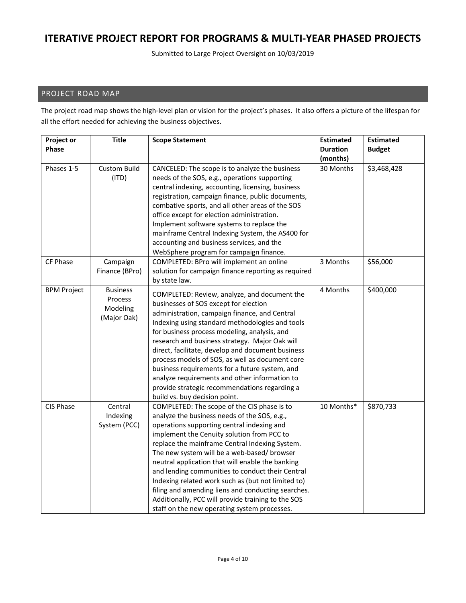Submitted to Large Project Oversight on 10/03/2019

### PROJECT ROAD MAP

The project road map shows the high-level plan or vision for the project's phases. It also offers a picture of the lifespan for all the effort needed for achieving the business objectives.

| Project or         | <b>Title</b>             | <b>Scope Statement</b>                                                                                                                                                                                                                                                                                                                                                                                                                                                                                              | <b>Estimated</b> | <b>Estimated</b> |
|--------------------|--------------------------|---------------------------------------------------------------------------------------------------------------------------------------------------------------------------------------------------------------------------------------------------------------------------------------------------------------------------------------------------------------------------------------------------------------------------------------------------------------------------------------------------------------------|------------------|------------------|
| Phase              |                          |                                                                                                                                                                                                                                                                                                                                                                                                                                                                                                                     | <b>Duration</b>  | <b>Budget</b>    |
|                    |                          |                                                                                                                                                                                                                                                                                                                                                                                                                                                                                                                     | (months)         |                  |
| Phases 1-5         | <b>Custom Build</b>      | CANCELED: The scope is to analyze the business                                                                                                                                                                                                                                                                                                                                                                                                                                                                      | 30 Months        | \$3,468,428      |
|                    | (ITD)                    | needs of the SOS, e.g., operations supporting                                                                                                                                                                                                                                                                                                                                                                                                                                                                       |                  |                  |
|                    |                          | central indexing, accounting, licensing, business                                                                                                                                                                                                                                                                                                                                                                                                                                                                   |                  |                  |
|                    |                          | registration, campaign finance, public documents,                                                                                                                                                                                                                                                                                                                                                                                                                                                                   |                  |                  |
|                    |                          | combative sports, and all other areas of the SOS                                                                                                                                                                                                                                                                                                                                                                                                                                                                    |                  |                  |
|                    |                          | office except for election administration.                                                                                                                                                                                                                                                                                                                                                                                                                                                                          |                  |                  |
|                    |                          | Implement software systems to replace the                                                                                                                                                                                                                                                                                                                                                                                                                                                                           |                  |                  |
|                    |                          | mainframe Central Indexing System, the AS400 for                                                                                                                                                                                                                                                                                                                                                                                                                                                                    |                  |                  |
|                    |                          | accounting and business services, and the                                                                                                                                                                                                                                                                                                                                                                                                                                                                           |                  |                  |
|                    |                          | WebSphere program for campaign finance.                                                                                                                                                                                                                                                                                                                                                                                                                                                                             |                  |                  |
| CF Phase           | Campaign                 | COMPLETED: BPro will implement an online                                                                                                                                                                                                                                                                                                                                                                                                                                                                            | 3 Months         | \$56,000         |
|                    | Finance (BPro)           | solution for campaign finance reporting as required                                                                                                                                                                                                                                                                                                                                                                                                                                                                 |                  |                  |
|                    |                          | by state law.                                                                                                                                                                                                                                                                                                                                                                                                                                                                                                       |                  |                  |
| <b>BPM Project</b> | <b>Business</b>          | COMPLETED: Review, analyze, and document the                                                                                                                                                                                                                                                                                                                                                                                                                                                                        | 4 Months         | \$400,000        |
|                    | Process                  | businesses of SOS except for election                                                                                                                                                                                                                                                                                                                                                                                                                                                                               |                  |                  |
|                    | Modeling                 | administration, campaign finance, and Central                                                                                                                                                                                                                                                                                                                                                                                                                                                                       |                  |                  |
|                    | (Major Oak)              | Indexing using standard methodologies and tools                                                                                                                                                                                                                                                                                                                                                                                                                                                                     |                  |                  |
|                    |                          | for business process modeling, analysis, and                                                                                                                                                                                                                                                                                                                                                                                                                                                                        |                  |                  |
|                    |                          | research and business strategy. Major Oak will                                                                                                                                                                                                                                                                                                                                                                                                                                                                      |                  |                  |
|                    |                          | direct, facilitate, develop and document business                                                                                                                                                                                                                                                                                                                                                                                                                                                                   |                  |                  |
|                    |                          | process models of SOS, as well as document core                                                                                                                                                                                                                                                                                                                                                                                                                                                                     |                  |                  |
|                    |                          | business requirements for a future system, and                                                                                                                                                                                                                                                                                                                                                                                                                                                                      |                  |                  |
|                    |                          | analyze requirements and other information to                                                                                                                                                                                                                                                                                                                                                                                                                                                                       |                  |                  |
|                    |                          | provide strategic recommendations regarding a                                                                                                                                                                                                                                                                                                                                                                                                                                                                       |                  |                  |
|                    |                          | build vs. buy decision point.                                                                                                                                                                                                                                                                                                                                                                                                                                                                                       |                  |                  |
| CIS Phase          | Central                  | COMPLETED: The scope of the CIS phase is to                                                                                                                                                                                                                                                                                                                                                                                                                                                                         | 10 Months*       | \$870,733        |
|                    |                          |                                                                                                                                                                                                                                                                                                                                                                                                                                                                                                                     |                  |                  |
|                    |                          |                                                                                                                                                                                                                                                                                                                                                                                                                                                                                                                     |                  |                  |
|                    |                          |                                                                                                                                                                                                                                                                                                                                                                                                                                                                                                                     |                  |                  |
|                    |                          |                                                                                                                                                                                                                                                                                                                                                                                                                                                                                                                     |                  |                  |
|                    |                          |                                                                                                                                                                                                                                                                                                                                                                                                                                                                                                                     |                  |                  |
|                    |                          |                                                                                                                                                                                                                                                                                                                                                                                                                                                                                                                     |                  |                  |
|                    |                          |                                                                                                                                                                                                                                                                                                                                                                                                                                                                                                                     |                  |                  |
|                    |                          |                                                                                                                                                                                                                                                                                                                                                                                                                                                                                                                     |                  |                  |
|                    |                          |                                                                                                                                                                                                                                                                                                                                                                                                                                                                                                                     |                  |                  |
|                    |                          |                                                                                                                                                                                                                                                                                                                                                                                                                                                                                                                     |                  |                  |
|                    |                          | staff on the new operating system processes.                                                                                                                                                                                                                                                                                                                                                                                                                                                                        |                  |                  |
|                    | Indexing<br>System (PCC) | analyze the business needs of the SOS, e.g.,<br>operations supporting central indexing and<br>implement the Cenuity solution from PCC to<br>replace the mainframe Central Indexing System.<br>The new system will be a web-based/ browser<br>neutral application that will enable the banking<br>and lending communities to conduct their Central<br>Indexing related work such as (but not limited to)<br>filing and amending liens and conducting searches.<br>Additionally, PCC will provide training to the SOS |                  |                  |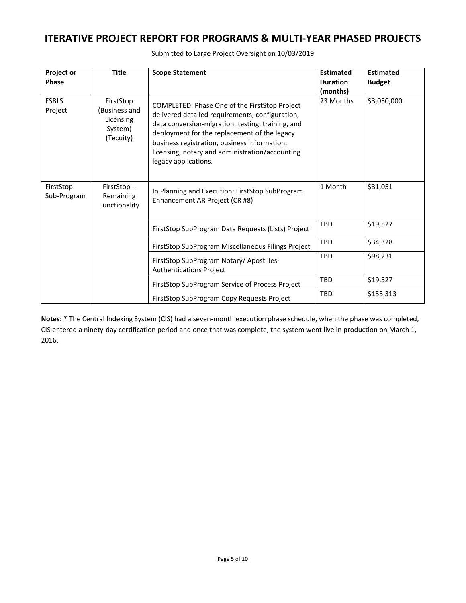| Project or<br>Phase      | <b>Title</b>                                                                                                                  | <b>Scope Statement</b>                                                                                                                                                                                                                                                                                                           | <b>Estimated</b><br><b>Duration</b><br>(months) | <b>Estimated</b><br><b>Budget</b> |
|--------------------------|-------------------------------------------------------------------------------------------------------------------------------|----------------------------------------------------------------------------------------------------------------------------------------------------------------------------------------------------------------------------------------------------------------------------------------------------------------------------------|-------------------------------------------------|-----------------------------------|
| <b>FSBLS</b><br>Project  | FirstStop<br>(Business and<br>Licensing<br>System)<br>(Tecuity)                                                               | COMPLETED: Phase One of the FirstStop Project<br>delivered detailed requirements, configuration,<br>data conversion-migration, testing, training, and<br>deployment for the replacement of the legacy<br>business registration, business information,<br>licensing, notary and administration/accounting<br>legacy applications. | 23 Months                                       | \$3,050,000                       |
| FirstStop<br>Sub-Program | FirstStop-<br>In Planning and Execution: FirstStop SubProgram<br>Remaining<br>Enhancement AR Project (CR #8)<br>Functionality |                                                                                                                                                                                                                                                                                                                                  | 1 Month                                         | \$31,051                          |
|                          |                                                                                                                               | FirstStop SubProgram Data Requests (Lists) Project                                                                                                                                                                                                                                                                               | <b>TBD</b>                                      | \$19,527                          |
|                          |                                                                                                                               | FirstStop SubProgram Miscellaneous Filings Project                                                                                                                                                                                                                                                                               | <b>TBD</b>                                      | \$34,328                          |
|                          |                                                                                                                               | FirstStop SubProgram Notary/ Apostilles-<br><b>Authentications Project</b>                                                                                                                                                                                                                                                       |                                                 | \$98,231                          |
|                          |                                                                                                                               | FirstStop SubProgram Service of Process Project                                                                                                                                                                                                                                                                                  | TBD                                             | \$19,527                          |
|                          |                                                                                                                               | FirstStop SubProgram Copy Requests Project                                                                                                                                                                                                                                                                                       | <b>TBD</b>                                      | \$155,313                         |

Submitted to Large Project Oversight on 10/03/2019

**Notes: \*** The Central Indexing System (CIS) had a seven‐month execution phase schedule, when the phase was completed, CIS entered a ninety‐day certification period and once that was complete, the system went live in production on March 1, 2016.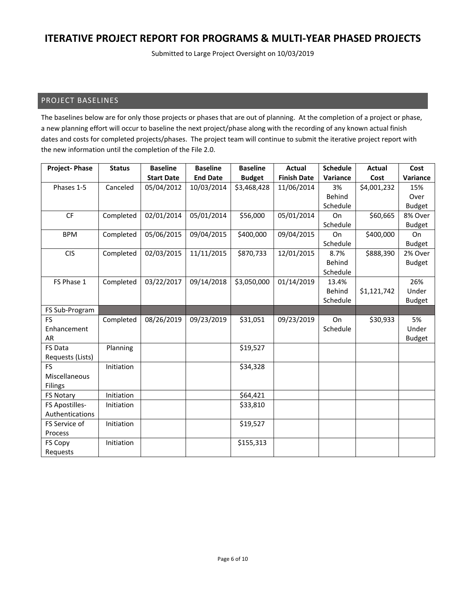Submitted to Large Project Oversight on 10/03/2019

#### PROJECT BASELINES

The baselines below are for only those projects or phases that are out of planning. At the completion of a project or phase, a new planning effort will occur to baseline the next project/phase along with the recording of any known actual finish dates and costs for completed projects/phases. The project team will continue to submit the iterative project report with the new information until the completion of the File 2.0.

| <b>Project-Phase</b> | <b>Status</b> | <b>Baseline</b>   | <b>Baseline</b> | <b>Baseline</b> | <b>Actual</b>      | <b>Schedule</b> | <b>Actual</b> | Cost          |
|----------------------|---------------|-------------------|-----------------|-----------------|--------------------|-----------------|---------------|---------------|
|                      |               | <b>Start Date</b> | <b>End Date</b> | <b>Budget</b>   | <b>Finish Date</b> | Variance        | Cost          | Variance      |
| Phases 1-5           | Canceled      | 05/04/2012        | 10/03/2014      | \$3,468,428     | 11/06/2014         | 3%              | \$4,001,232   | 15%           |
|                      |               |                   |                 |                 |                    | <b>Behind</b>   |               | Over          |
|                      |               |                   |                 |                 |                    | Schedule        |               | <b>Budget</b> |
| CF                   | Completed     | 02/01/2014        | 05/01/2014      | \$56,000        | 05/01/2014         | On              | \$60,665      | 8% Over       |
|                      |               |                   |                 |                 |                    | Schedule        |               | <b>Budget</b> |
| <b>BPM</b>           | Completed     | 05/06/2015        | 09/04/2015      | \$400,000       | 09/04/2015         | On              | \$400,000     | On            |
|                      |               |                   |                 |                 |                    | Schedule        |               | <b>Budget</b> |
| <b>CIS</b>           | Completed     | 02/03/2015        | 11/11/2015      | \$870,733       | 12/01/2015         | 8.7%            | \$888,390     | 2% Over       |
|                      |               |                   |                 |                 |                    | <b>Behind</b>   |               | <b>Budget</b> |
|                      |               |                   |                 |                 |                    | Schedule        |               |               |
| FS Phase 1           | Completed     | 03/22/2017        | 09/14/2018      | \$3,050,000     | 01/14/2019         | 13.4%           |               | 26%           |
|                      |               |                   |                 |                 |                    | Behind          | \$1,121,742   | Under         |
|                      |               |                   |                 |                 |                    | Schedule        |               | <b>Budget</b> |
| FS Sub-Program       |               |                   |                 |                 |                    |                 |               |               |
| <b>FS</b>            | Completed     | 08/26/2019        | 09/23/2019      | \$31,051        | 09/23/2019         | On              | \$30,933      | 5%            |
| Enhancement          |               |                   |                 |                 |                    | Schedule        |               | Under         |
| AR                   |               |                   |                 |                 |                    |                 |               | <b>Budget</b> |
| FS Data              | Planning      |                   |                 | \$19,527        |                    |                 |               |               |
| Requests (Lists)     |               |                   |                 |                 |                    |                 |               |               |
| <b>FS</b>            | Initiation    |                   |                 | \$34,328        |                    |                 |               |               |
| Miscellaneous        |               |                   |                 |                 |                    |                 |               |               |
| Filings              |               |                   |                 |                 |                    |                 |               |               |
| <b>FS Notary</b>     | Initiation    |                   |                 | \$64,421        |                    |                 |               |               |
| FS Apostilles-       | Initiation    |                   |                 | \$33,810        |                    |                 |               |               |
| Authentications      |               |                   |                 |                 |                    |                 |               |               |
| FS Service of        | Initiation    |                   |                 | \$19,527        |                    |                 |               |               |
| Process              |               |                   |                 |                 |                    |                 |               |               |
| FS Copy              | Initiation    |                   |                 | \$155,313       |                    |                 |               |               |
| Requests             |               |                   |                 |                 |                    |                 |               |               |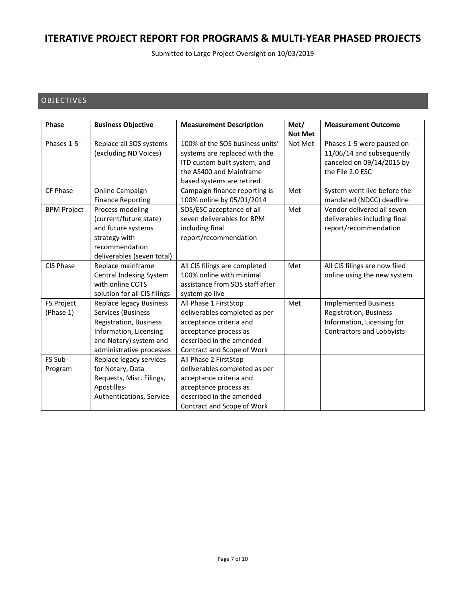Submitted to Large Project Oversight on 10/03/2019

#### OBJECTIVES

| <b>Phase</b>                   | <b>Business Objective</b>                                                                                                                                      | <b>Measurement Description</b>                                                                                                                                       | Met/<br><b>Not Met</b> | <b>Measurement Outcome</b>                                                                                       |
|--------------------------------|----------------------------------------------------------------------------------------------------------------------------------------------------------------|----------------------------------------------------------------------------------------------------------------------------------------------------------------------|------------------------|------------------------------------------------------------------------------------------------------------------|
| Phases 1-5                     | Replace all SOS systems<br>(excluding ND Voices)                                                                                                               | 100% of the SOS business units'<br>systems are replaced with the<br>ITD custom built system, and<br>the AS400 and Mainframe<br>based systems are retired             | Not Met                | Phases 1-5 were paused on<br>11/06/14 and subsequently<br>canceled on 09/14/2015 by<br>the File 2.0 ESC          |
| CF Phase                       | Online Campaign<br><b>Finance Reporting</b>                                                                                                                    | Campaign finance reporting is<br>100% online by 05/01/2014                                                                                                           | Met                    | System went live before the<br>mandated (NDCC) deadline                                                          |
| <b>BPM Project</b>             | Process modeling<br>(current/future state)<br>and future systems<br>strategy with<br>recommendation<br>deliverables (seven total)                              | SOS/ESC acceptance of all<br>seven deliverables for BPM<br>including final<br>report/recommendation                                                                  | Met                    | Vendor delivered all seven<br>deliverables including final<br>report/recommendation                              |
| CIS Phase                      | Replace mainframe<br>Central Indexing System<br>with online COTS<br>solution for all CIS filings                                                               | All CIS filings are completed<br>100% online with minimal<br>assistance from SOS staff after<br>system go live                                                       | Met                    | All CIS filings are now filed<br>online using the new system                                                     |
| <b>FS Project</b><br>(Phase 1) | <b>Replace legacy Business</b><br>Services (Business<br>Registration, Business<br>Information, Licensing<br>and Notary) system and<br>administrative processes | All Phase 1 FirstStop<br>deliverables completed as per<br>acceptance criteria and<br>acceptance process as<br>described in the amended<br>Contract and Scope of Work | Met                    | <b>Implemented Business</b><br>Registration, Business<br>Information, Licensing for<br>Contractors and Lobbyists |
| FS Sub-<br>Program             | Replace legacy services<br>for Notary, Data<br>Requests, Misc. Filings,<br>Apostilles-<br>Authentications, Service                                             | All Phase 2 FirstStop<br>deliverables completed as per<br>acceptance criteria and<br>acceptance process as<br>described in the amended<br>Contract and Scope of Work |                        |                                                                                                                  |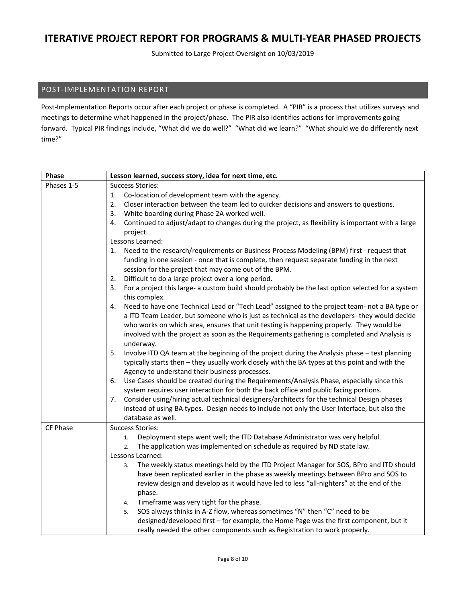Submitted to Large Project Oversight on 10/03/2019

### POST‐IMPLEMENTATION REPORT

Post-Implementation Reports occur after each project or phase is completed. A "PIR" is a process that utilizes surveys and meetings to determine what happened in the project/phase. The PIR also identifies actions for improvements going forward. Typical PIR findings include, "What did we do well?" "What did we learn?" "What should we do differently next time?"

| Phase      | Lesson learned, success story, idea for next time, etc.                                                                  |  |  |  |  |
|------------|--------------------------------------------------------------------------------------------------------------------------|--|--|--|--|
| Phases 1-5 | <b>Success Stories:</b>                                                                                                  |  |  |  |  |
|            | Co-location of development team with the agency.<br>1.                                                                   |  |  |  |  |
|            | Closer interaction between the team led to quicker decisions and answers to questions.<br>2.                             |  |  |  |  |
|            | White boarding during Phase 2A worked well.<br>3.                                                                        |  |  |  |  |
|            | Continued to adjust/adapt to changes during the project, as flexibility is important with a large<br>4.                  |  |  |  |  |
|            | project.                                                                                                                 |  |  |  |  |
|            | Lessons Learned:                                                                                                         |  |  |  |  |
|            | Need to the research/requirements or Business Process Modeling (BPM) first - request that<br>1.                          |  |  |  |  |
|            | funding in one session - once that is complete, then request separate funding in the next                                |  |  |  |  |
|            | session for the project that may come out of the BPM.                                                                    |  |  |  |  |
|            | Difficult to do a large project over a long period.<br>2.                                                                |  |  |  |  |
|            | For a project this large- a custom build should probably be the last option selected for a system<br>3.<br>this complex. |  |  |  |  |
|            | Need to have one Technical Lead or "Tech Lead" assigned to the project team- not a BA type or<br>4.                      |  |  |  |  |
|            | a ITD Team Leader, but someone who is just as technical as the developers- they would decide                             |  |  |  |  |
|            | who works on which area, ensures that unit testing is happening properly. They would be                                  |  |  |  |  |
|            | involved with the project as soon as the Requirements gathering is completed and Analysis is                             |  |  |  |  |
|            | underway.                                                                                                                |  |  |  |  |
|            | Involve ITD QA team at the beginning of the project during the Analysis phase - test planning<br>5.                      |  |  |  |  |
|            | typically starts then - they usually work closely with the BA types at this point and with the                           |  |  |  |  |
|            | Agency to understand their business processes.                                                                           |  |  |  |  |
|            | Use Cases should be created during the Requirements/Analysis Phase, especially since this<br>6.                          |  |  |  |  |
|            | system requires user interaction for both the back office and public facing portions.                                    |  |  |  |  |
|            | Consider using/hiring actual technical designers/architects for the technical Design phases<br>7.                        |  |  |  |  |
|            | instead of using BA types. Design needs to include not only the User Interface, but also the                             |  |  |  |  |
|            | database as well.                                                                                                        |  |  |  |  |
| CF Phase   | <b>Success Stories:</b>                                                                                                  |  |  |  |  |
|            | Deployment steps went well; the ITD Database Administrator was very helpful.<br>1.                                       |  |  |  |  |
|            | The application was implemented on schedule as required by ND state law.<br>2.                                           |  |  |  |  |
|            | Lessons Learned:                                                                                                         |  |  |  |  |
|            | The weekly status meetings held by the ITD Project Manager for SOS, BPro and ITD should<br>3.                            |  |  |  |  |
|            | have been replicated earlier in the phase as weekly meetings between BPro and SOS to                                     |  |  |  |  |
|            | review design and develop as it would have led to less "all-nighters" at the end of the                                  |  |  |  |  |
|            | phase.                                                                                                                   |  |  |  |  |
|            | Timeframe was very tight for the phase.<br>4.                                                                            |  |  |  |  |
|            | SOS always thinks in A-Z flow, whereas sometimes "N" then "C" need to be<br>5.                                           |  |  |  |  |
|            | designed/developed first - for example, the Home Page was the first component, but it                                    |  |  |  |  |
|            | really needed the other components such as Registration to work properly.                                                |  |  |  |  |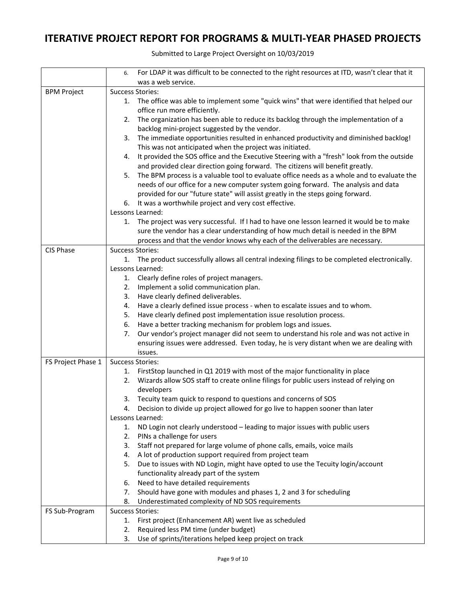|                    | For LDAP it was difficult to be connected to the right resources at ITD, wasn't clear that it<br>6. |
|--------------------|-----------------------------------------------------------------------------------------------------|
|                    | was a web service.                                                                                  |
| <b>BPM Project</b> | <b>Success Stories:</b>                                                                             |
|                    | 1. The office was able to implement some "quick wins" that were identified that helped our          |
|                    | office run more efficiently.                                                                        |
|                    | The organization has been able to reduce its backlog through the implementation of a<br>2.          |
|                    | backlog mini-project suggested by the vendor.                                                       |
|                    | The immediate opportunities resulted in enhanced productivity and diminished backlog!<br>3.         |
|                    | This was not anticipated when the project was initiated.                                            |
|                    | It provided the SOS office and the Executive Steering with a "fresh" look from the outside<br>4.    |
|                    | and provided clear direction going forward. The citizens will benefit greatly.                      |
|                    | The BPM process is a valuable tool to evaluate office needs as a whole and to evaluate the<br>5.    |
|                    | needs of our office for a new computer system going forward. The analysis and data                  |
|                    | provided for our "future state" will assist greatly in the steps going forward.                     |
|                    | 6. It was a worthwhile project and very cost effective.                                             |
|                    | Lessons Learned:                                                                                    |
|                    | The project was very successful. If I had to have one lesson learned it would be to make<br>1.      |
|                    | sure the vendor has a clear understanding of how much detail is needed in the BPM                   |
|                    | process and that the vendor knows why each of the deliverables are necessary.                       |
| CIS Phase          | <b>Success Stories:</b>                                                                             |
|                    | 1. The product successfully allows all central indexing filings to be completed electronically.     |
|                    | Lessons Learned:                                                                                    |
|                    | 1. Clearly define roles of project managers.                                                        |
|                    | 2. Implement a solid communication plan.                                                            |
|                    | Have clearly defined deliverables.<br>3.                                                            |
|                    | Have a clearly defined issue process - when to escalate issues and to whom.<br>4.                   |
|                    | Have clearly defined post implementation issue resolution process.<br>5.                            |
|                    | Have a better tracking mechanism for problem logs and issues.<br>6.                                 |
|                    | Our vendor's project manager did not seem to understand his role and was not active in<br>7.        |
|                    | ensuring issues were addressed. Even today, he is very distant when we are dealing with             |
|                    | issues.                                                                                             |
| FS Project Phase 1 | <b>Success Stories:</b>                                                                             |
|                    | FirstStop launched in Q1 2019 with most of the major functionality in place<br>1.                   |
|                    | Wizards allow SOS staff to create online filings for public users instead of relying on<br>2.       |
|                    | developers                                                                                          |
|                    | Tecuity team quick to respond to questions and concerns of SOS<br>3.                                |
|                    | Decision to divide up project allowed for go live to happen sooner than later                       |
|                    | Lessons Learned:                                                                                    |
|                    | ND Login not clearly understood - leading to major issues with public users<br>1.                   |
|                    | PINs a challenge for users<br>2.                                                                    |
|                    | Staff not prepared for large volume of phone calls, emails, voice mails<br>3.                       |
|                    | A lot of production support required from project team<br>4.                                        |
|                    | Due to issues with ND Login, might have opted to use the Tecuity login/account<br>5.                |
|                    | functionality already part of the system                                                            |
|                    | Need to have detailed requirements<br>6.                                                            |
|                    | Should have gone with modules and phases 1, 2 and 3 for scheduling<br>7.                            |
|                    | Underestimated complexity of ND SOS requirements<br>8.                                              |
| FS Sub-Program     | <b>Success Stories:</b>                                                                             |
|                    | First project (Enhancement AR) went live as scheduled<br>1.                                         |
|                    | Required less PM time (under budget)<br>2.                                                          |
|                    | Use of sprints/iterations helped keep project on track<br>3.                                        |

Submitted to Large Project Oversight on 10/03/2019